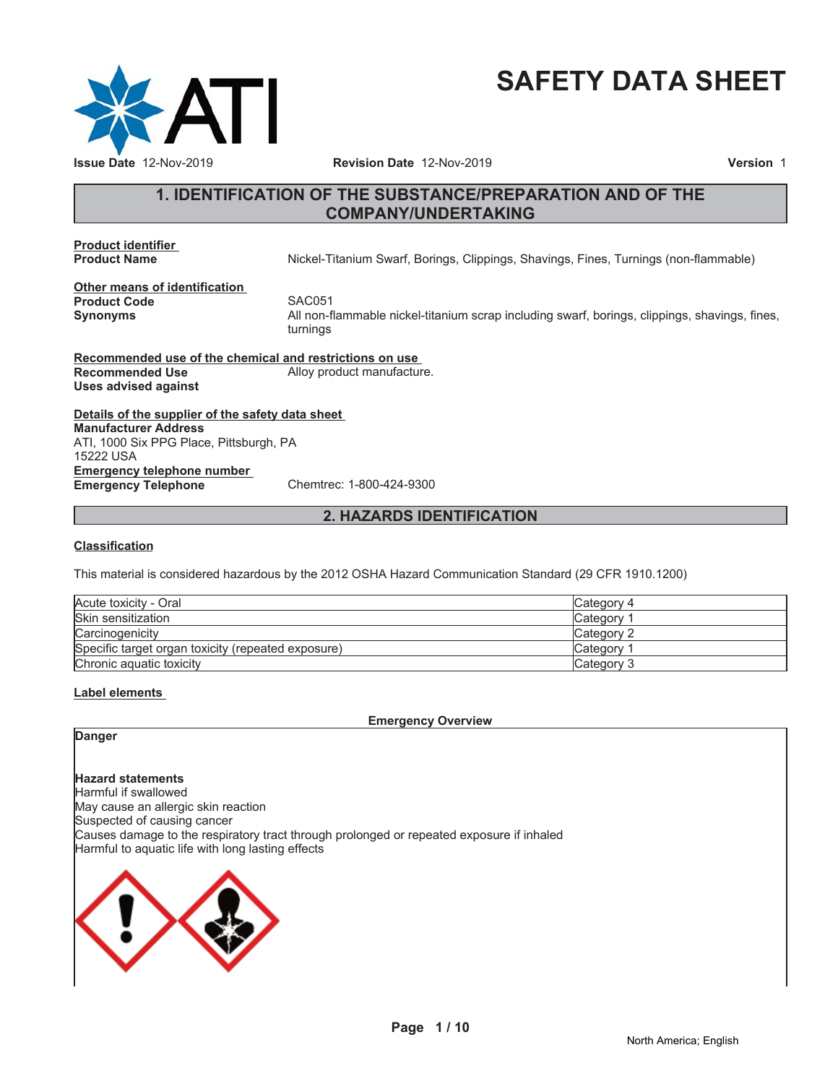

# **SAFETY DATA SHEET**

# **1. IDENTIFICATION OF THE SUBSTANCE/PREPARATION AND OF THE COMPANY/UNDERTAKING**

**Product identifier**

**Product Name** Nickel-Titanium Swarf, Borings, Clippings, Shavings, Fines, Turnings (non-flammable)

**Other means of identification Product Code** SAC051<br> **Synonyms** All non-fl

**Synonyms** All non-flammable nickel-titanium scrap including swarf, borings, clippings, shavings, fines, turnings

**Recommended use of the chemical and restrictions on use Recommended Use** Alloy product manufacture. **Uses advised against**

**Details of the supplier of the safety data sheet Emergency telephone number Emergency Telephone** Chemtrec: 1-800-424-9300 **Manufacturer Address** ATI, 1000 Six PPG Place, Pittsburgh, PA 15222 USA

**2. HAZARDS IDENTIFICATION**

#### **Classification**

This material is considered hazardous by the 2012 OSHA Hazard Communication Standard (29 CFR 1910.1200)

| Acute toxicity - Oral                              | Category 4 |
|----------------------------------------------------|------------|
| Skin sensitization                                 | Category   |
| Carcinogenicity                                    | Category 2 |
| Specific target organ toxicity (repeated exposure) | Category 1 |
| Chronic aguatic toxicity                           | Category 3 |

#### **Label elements**

**Emergency Overview**

# **Danger**

**Hazard statements** Harmful if swallowed May cause an allergic skin reaction Suspected of causing cancer Causes damage to the respiratory tract through prolonged or repeated exposure if inhaled Harmful to aquatic life with long lasting effects

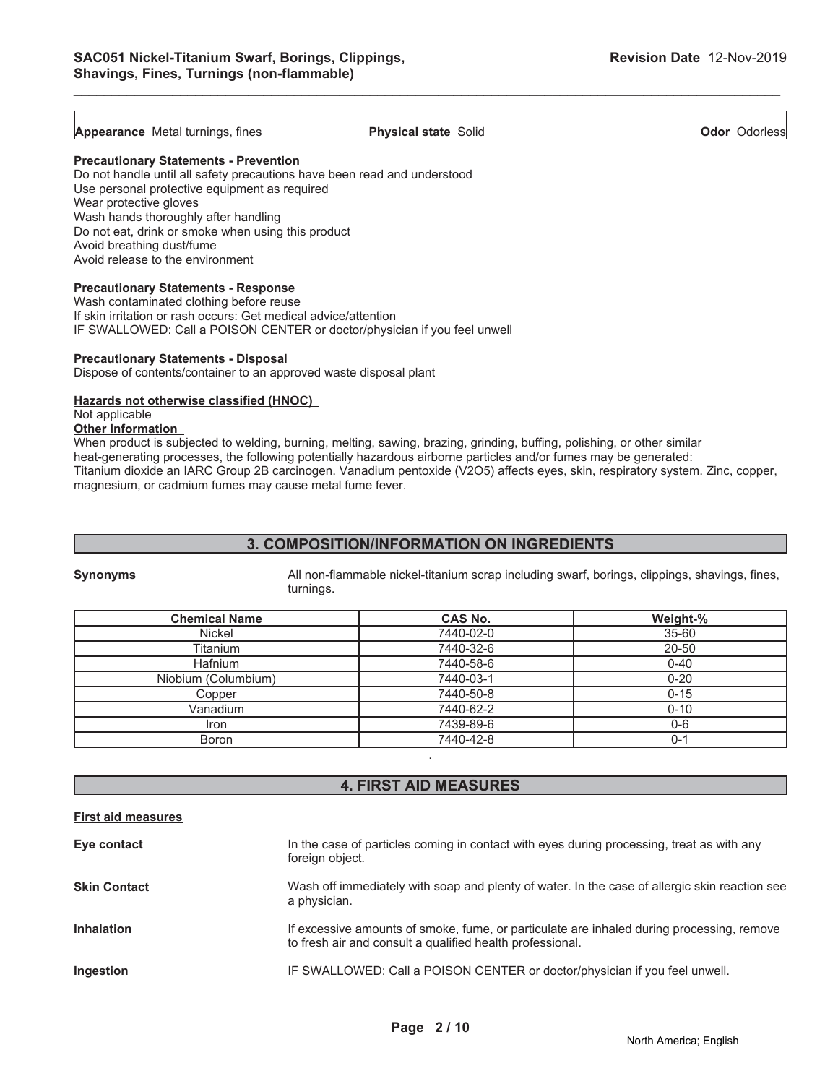**Odor** Odorless

**Appearance** Metal turnings, fines **Physical state** Solid

\_\_\_\_\_\_\_\_\_\_\_\_\_\_\_\_\_\_\_\_\_\_\_\_\_\_\_\_\_\_\_\_\_\_\_\_\_\_\_\_\_\_\_\_\_\_\_\_\_\_\_\_\_\_\_\_\_\_\_\_\_\_\_\_\_\_\_\_\_\_\_\_\_\_\_\_\_\_\_\_\_\_\_\_\_\_\_\_\_\_\_\_\_

**Precautionary Statements - Prevention**

Do not handle until all safety precautions have been read and understood Use personal protective equipment as required Wear protective gloves Wash hands thoroughly after handling Do not eat, drink or smoke when using this product Avoid breathing dust/fume Avoid release to the environment

#### **Precautionary Statements - Response**

Wash contaminated clothing before reuse If skin irritation or rash occurs: Get medical advice/attention IF SWALLOWED: Call a POISON CENTER or doctor/physician if you feel unwell

#### **Precautionary Statements - Disposal**

Dispose of contents/container to an approved waste disposal plant

#### **Hazards not otherwise classified (HNOC)**

Not applicable

#### **Other Information**

When product is subjected to welding, burning, melting, sawing, brazing, grinding, buffing, polishing, or other similar heat-generating processes, the following potentially hazardous airborne particles and/or fumes may be generated: Titanium dioxide an IARC Group 2B carcinogen. Vanadium pentoxide (V2O5) affects eyes, skin, respiratory system. Zinc, copper, magnesium, or cadmium fumes may cause metal fume fever.

#### **3. COMPOSITION/INFORMATION ON INGREDIENTS**

**Synonyms** All non-flammable nickel-titanium scrap including swarf, borings, clippings, shavings, fines, turnings.

| <b>Chemical Name</b> | <b>CAS No.</b> | Weight-%  |
|----------------------|----------------|-----------|
| Nickel               | 7440-02-0      | $35 - 60$ |
| Titanium             | 7440-32-6      | 20-50     |
| <b>Hafnium</b>       | 7440-58-6      | $0 - 40$  |
| Niobium (Columbium)  | 7440-03-1      | $0 - 20$  |
| Copper               | 7440-50-8      | $0 - 15$  |
| Vanadium             | 7440-62-2      | $0 - 10$  |
| Iron                 | 7439-89-6      | $0-6$     |
| <b>Boron</b>         | 7440-42-8      | $0 - 1$   |
|                      |                |           |

#### **4. FIRST AID MEASURES**

| <b>First aid measures</b> |                                                                                                                                                        |
|---------------------------|--------------------------------------------------------------------------------------------------------------------------------------------------------|
| Eye contact               | In the case of particles coming in contact with eyes during processing, treat as with any<br>foreign object.                                           |
| <b>Skin Contact</b>       | Wash off immediately with soap and plenty of water. In the case of allergic skin reaction see<br>a physician.                                          |
| <b>Inhalation</b>         | If excessive amounts of smoke, fume, or particulate are inhaled during processing, remove<br>to fresh air and consult a qualified health professional. |
| Ingestion                 | IF SWALLOWED: Call a POISON CENTER or doctor/physician if you feel unwell.                                                                             |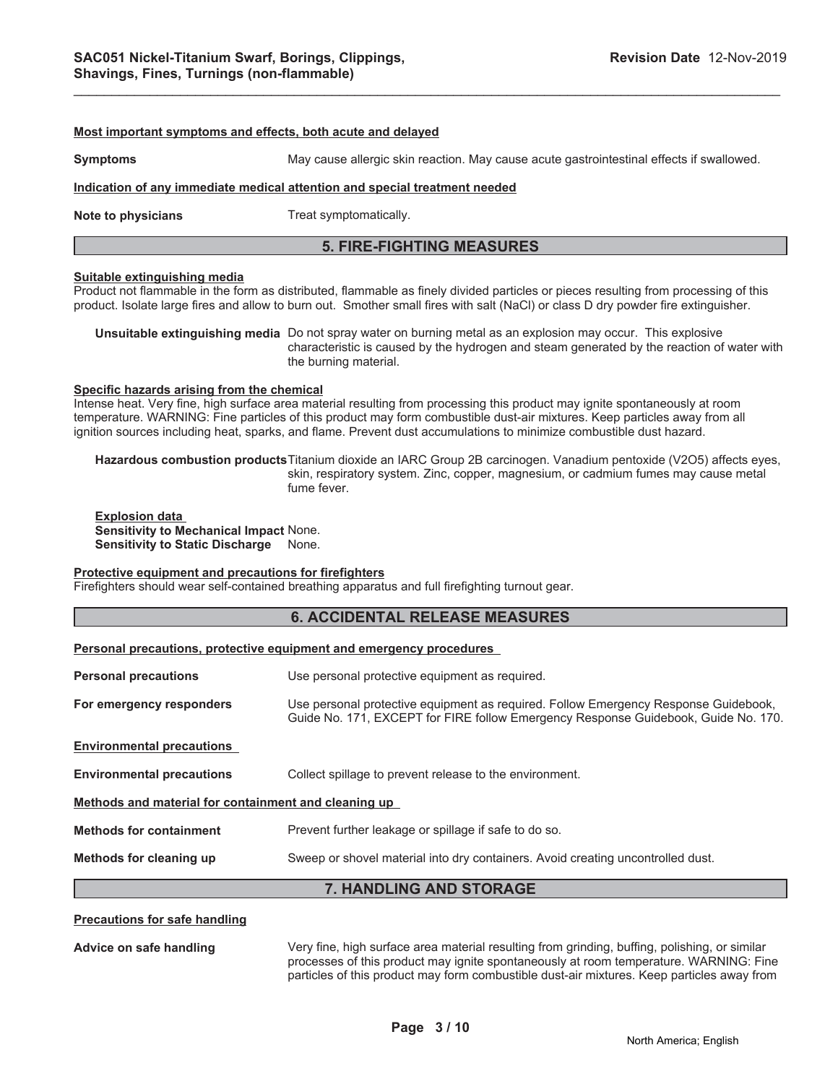#### **Most important symptoms and effects, both acute and delayed**

**Symptoms** May cause allergic skin reaction. May cause acute gastrointestinal effects if swallowed.

#### **Indication of any immediate medical attention and special treatment needed**

**Note to physicians** Treat symptomatically.

#### **5. FIRE-FIGHTING MEASURES**

#### **Suitable extinguishing media**

Product not flammable in the form as distributed, flammable as finely divided particles or pieces resulting from processing of this product. Isolate large fires and allow to burn out. Smother small fires with salt (NaCl) or class D dry powder fire extinguisher.

**Unsuitable extinguishing media** Do not spray water on burning metal as an explosion may occur. This explosive characteristic is caused by the hydrogen and steam generated by the reaction of water with the burning material.

#### **Specific hazards arising from the chemical**

Intense heat. Very fine, high surface area material resulting from processing this product may ignite spontaneously at room temperature. WARNING: Fine particles of this product may form combustible dust-air mixtures. Keep particles away from all ignition sources including heat, sparks, and flame. Prevent dust accumulations to minimize combustible dust hazard.

**Hazardous combustion products**Titanium dioxide an IARC Group 2B carcinogen. Vanadium pentoxide (V2O5) affects eyes, skin, respiratory system. Zinc, copper, magnesium, or cadmium fumes may cause metal fume fever.

**Explosion data Sensitivity to Mechanical Impact** None. **Sensitivity to Static Discharge** None.

#### **Protective equipment and precautions for firefighters**

Firefighters should wear self-contained breathing apparatus and full firefighting turnout gear.

#### **6. ACCIDENTAL RELEASE MEASURES**

#### **Personal precautions, protective equipment and emergency procedures**

| 7. HANDLING AND STORAGE                              |                                                                                                                                                                           |  |  |
|------------------------------------------------------|---------------------------------------------------------------------------------------------------------------------------------------------------------------------------|--|--|
| Methods for cleaning up                              | Sweep or shovel material into dry containers. Avoid creating uncontrolled dust.                                                                                           |  |  |
| <b>Methods for containment</b>                       | Prevent further leakage or spillage if safe to do so.                                                                                                                     |  |  |
| Methods and material for containment and cleaning up |                                                                                                                                                                           |  |  |
| <b>Environmental precautions</b>                     | Collect spillage to prevent release to the environment.                                                                                                                   |  |  |
| <b>Environmental precautions</b>                     |                                                                                                                                                                           |  |  |
| For emergency responders                             | Use personal protective equipment as required. Follow Emergency Response Guidebook,<br>Guide No. 171, EXCEPT for FIRE follow Emergency Response Guidebook, Guide No. 170. |  |  |
| <b>Personal precautions</b>                          | Use personal protective equipment as required.                                                                                                                            |  |  |
|                                                      |                                                                                                                                                                           |  |  |

#### **Precautions for safe handling**

**Advice on safe handling** Very fine, high surface area material resulting from grinding, buffing, polishing, or similar processes of this product may ignite spontaneously at room temperature. WARNING: Fine particles of this product may form combustible dust-air mixtures. Keep particles away from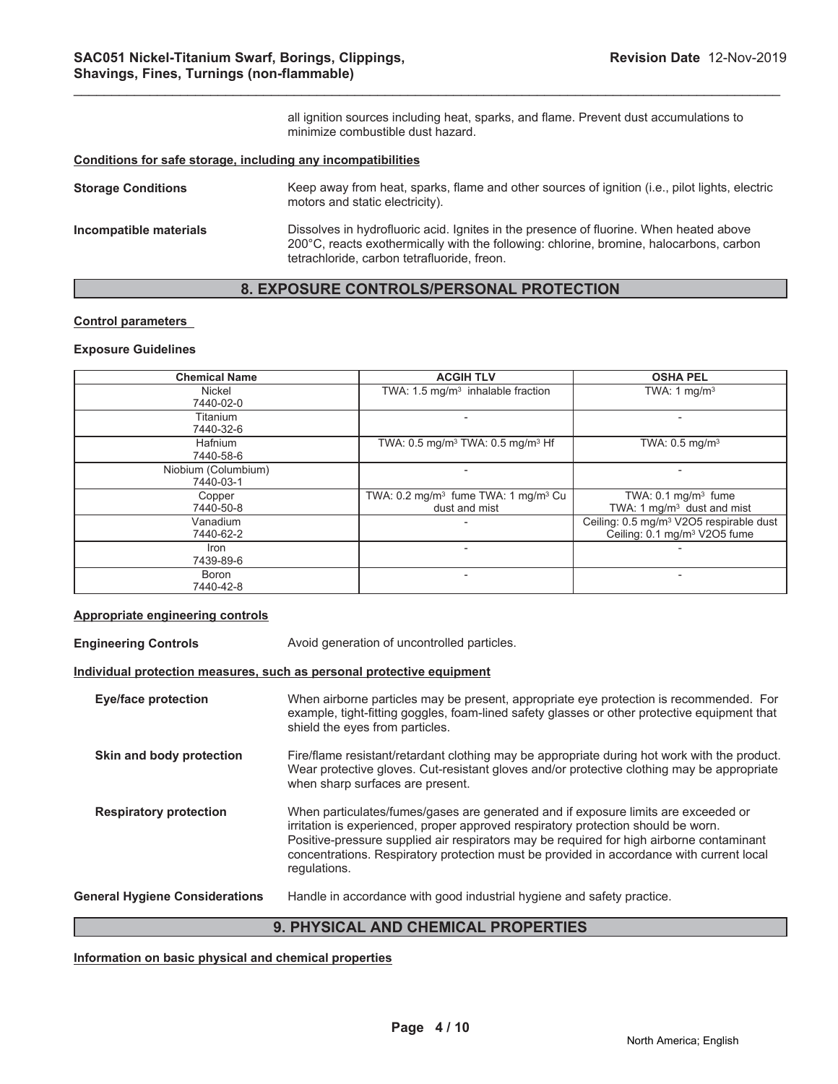all ignition sources including heat, sparks, and flame. Prevent dust accumulations to minimize combustible dust hazard.

#### **Conditions for safe storage, including any incompatibilities**

| <b>Storage Conditions</b> | Keep away from heat, sparks, flame and other sources of ignition (i.e., pilot lights, electric<br>motors and static electricity).                                                                                                |
|---------------------------|----------------------------------------------------------------------------------------------------------------------------------------------------------------------------------------------------------------------------------|
| Incompatible materials    | Dissolves in hydrofluoric acid. Ignites in the presence of fluorine. When heated above<br>200°C, reacts exothermically with the following: chlorine, bromine, halocarbons, carbon<br>tetrachloride, carbon tetrafluoride, freon. |

\_\_\_\_\_\_\_\_\_\_\_\_\_\_\_\_\_\_\_\_\_\_\_\_\_\_\_\_\_\_\_\_\_\_\_\_\_\_\_\_\_\_\_\_\_\_\_\_\_\_\_\_\_\_\_\_\_\_\_\_\_\_\_\_\_\_\_\_\_\_\_\_\_\_\_\_\_\_\_\_\_\_\_\_\_\_\_\_\_\_\_\_\_

### **8. EXPOSURE CONTROLS/PERSONAL PROTECTION**

#### **Control parameters**

#### **Exposure Guidelines**

| <b>Chemical Name</b> | <b>ACGIH TLV</b>                                           | <b>OSHA PEL</b>                                     |
|----------------------|------------------------------------------------------------|-----------------------------------------------------|
| Nickel               | TWA: $1.5 \text{ mg/m}^3$ inhalable fraction               | TWA: 1 $mq/m3$                                      |
| 7440-02-0            |                                                            |                                                     |
| Titanium             |                                                            |                                                     |
| 7440-32-6            |                                                            |                                                     |
| <b>Hafnium</b>       | TWA: $0.5 \text{ mg/m}^3$ TWA: $0.5 \text{ mg/m}^3$ Hf     | TWA: $0.5$ mg/m <sup>3</sup>                        |
| 7440-58-6            |                                                            |                                                     |
| Niobium (Columbium)  |                                                            |                                                     |
| 7440-03-1            |                                                            |                                                     |
| Copper               | TWA: $0.2 \text{ mg/m}^3$ fume TWA: 1 mg/m <sup>3</sup> Cu | TWA: $0.1 \text{ mg/m}^3$ fume                      |
| 7440-50-8            | dust and mist                                              | TWA: 1 mg/m <sup>3</sup> dust and mist              |
| Vanadium             |                                                            | Ceiling: 0.5 mg/m <sup>3</sup> V2O5 respirable dust |
| 7440-62-2            |                                                            | Ceiling: 0.1 mg/m <sup>3</sup> V2O5 fume            |
| Iron                 |                                                            |                                                     |
| 7439-89-6            |                                                            |                                                     |
| Boron                |                                                            |                                                     |
| 7440-42-8            |                                                            |                                                     |

#### **Appropriate engineering controls**

| <b>Engineering Controls</b>           | Avoid generation of uncontrolled particles.                                                                                                                                                                                                                                                                                                                                     |  |  |
|---------------------------------------|---------------------------------------------------------------------------------------------------------------------------------------------------------------------------------------------------------------------------------------------------------------------------------------------------------------------------------------------------------------------------------|--|--|
|                                       | Individual protection measures, such as personal protective equipment                                                                                                                                                                                                                                                                                                           |  |  |
| Eye/face protection                   | When airborne particles may be present, appropriate eye protection is recommended. For<br>example, tight-fitting goggles, foam-lined safety glasses or other protective equipment that<br>shield the eyes from particles.                                                                                                                                                       |  |  |
| Skin and body protection              | Fire/flame resistant/retardant clothing may be appropriate during hot work with the product.<br>Wear protective gloves. Cut-resistant gloves and/or protective clothing may be appropriate<br>when sharp surfaces are present.                                                                                                                                                  |  |  |
| <b>Respiratory protection</b>         | When particulates/fumes/gases are generated and if exposure limits are exceeded or<br>irritation is experienced, proper approved respiratory protection should be worn.<br>Positive-pressure supplied air respirators may be required for high airborne contaminant<br>concentrations. Respiratory protection must be provided in accordance with current local<br>regulations. |  |  |
| <b>General Hygiene Considerations</b> | Handle in accordance with good industrial hygiene and safety practice.                                                                                                                                                                                                                                                                                                          |  |  |
| 9. PHYSICAL AND CHEMICAL PROPERTIES   |                                                                                                                                                                                                                                                                                                                                                                                 |  |  |

**Information on basic physical and chemical properties**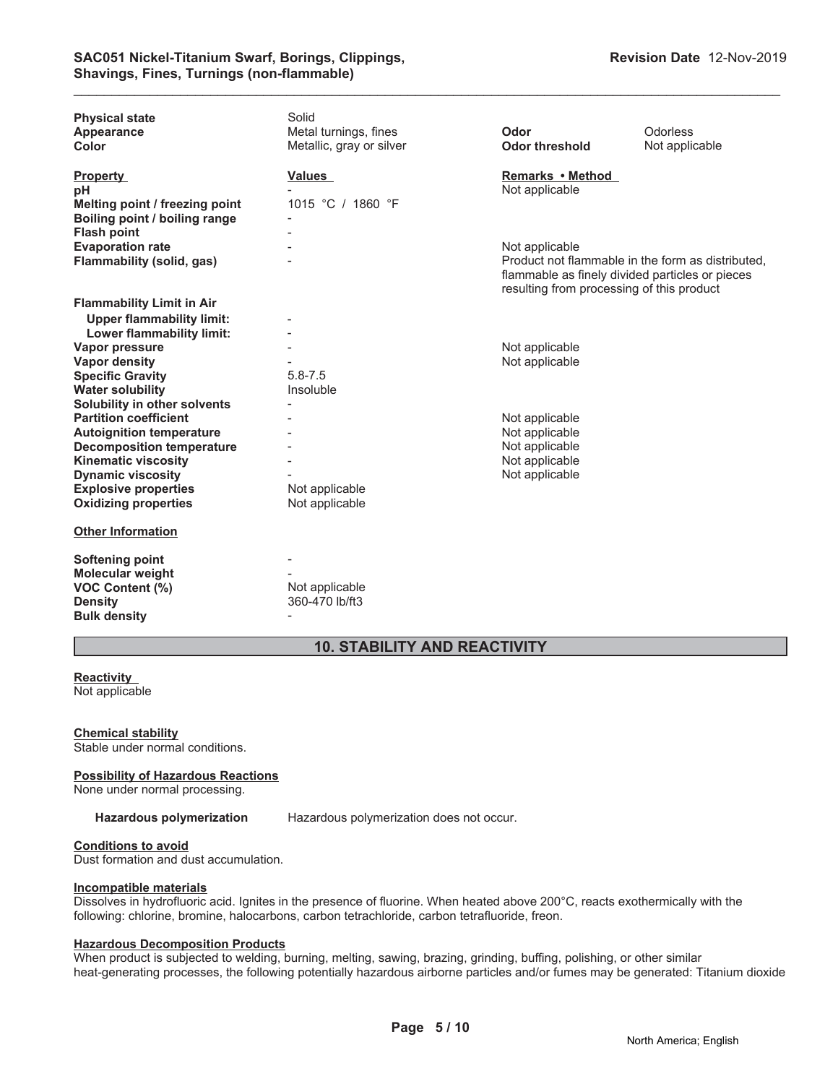| <b>Physical state</b><br>Appearance<br>Color                                                                         | Solid<br>Metal turnings, fines<br>Metallic, gray or silver | Odor<br><b>Odor threshold</b>                                                                                                                                       | Odorless<br>Not applicable |
|----------------------------------------------------------------------------------------------------------------------|------------------------------------------------------------|---------------------------------------------------------------------------------------------------------------------------------------------------------------------|----------------------------|
| <b>Property</b><br>рH<br>Melting point / freezing point<br>Boiling point / boiling range                             | Values<br>1015 °C / 1860 °F                                | Remarks • Method<br>Not applicable                                                                                                                                  |                            |
| <b>Flash point</b><br><b>Evaporation rate</b><br>Flammability (solid, gas)                                           |                                                            | Not applicable<br>Product not flammable in the form as distributed.<br>flammable as finely divided particles or pieces<br>resulting from processing of this product |                            |
| <b>Flammability Limit in Air</b><br><b>Upper flammability limit:</b><br>Lower flammability limit:                    |                                                            |                                                                                                                                                                     |                            |
| Vapor pressure<br><b>Vapor density</b><br><b>Specific Gravity</b>                                                    | $5.8 - 7.5$                                                | Not applicable<br>Not applicable                                                                                                                                    |                            |
| <b>Water solubility</b><br>Solubility in other solvents<br><b>Partition coefficient</b>                              | Insoluble                                                  | Not applicable                                                                                                                                                      |                            |
| <b>Autoignition temperature</b><br><b>Decomposition temperature</b><br><b>Kinematic viscosity</b>                    |                                                            | Not applicable<br>Not applicable<br>Not applicable                                                                                                                  |                            |
| <b>Dynamic viscosity</b><br><b>Explosive properties</b><br><b>Oxidizing properties</b>                               | Not applicable<br>Not applicable                           | Not applicable                                                                                                                                                      |                            |
| <b>Other Information</b>                                                                                             |                                                            |                                                                                                                                                                     |                            |
| <b>Softening point</b><br><b>Molecular weight</b><br><b>VOC Content (%)</b><br><b>Density</b><br><b>Bulk density</b> | Not applicable<br>360-470 lb/ft3                           |                                                                                                                                                                     |                            |

\_\_\_\_\_\_\_\_\_\_\_\_\_\_\_\_\_\_\_\_\_\_\_\_\_\_\_\_\_\_\_\_\_\_\_\_\_\_\_\_\_\_\_\_\_\_\_\_\_\_\_\_\_\_\_\_\_\_\_\_\_\_\_\_\_\_\_\_\_\_\_\_\_\_\_\_\_\_\_\_\_\_\_\_\_\_\_\_\_\_\_\_\_

## **10. STABILITY AND REACTIVITY**

#### **Reactivity** Not applicable

**Chemical stability** Stable under normal conditions.

#### **Possibility of Hazardous Reactions**

None under normal processing.

**Hazardous polymerization** Hazardous polymerization does not occur.

#### **Conditions to avoid**

Dust formation and dust accumulation.

#### **Incompatible materials**

Dissolves in hydrofluoric acid. Ignites in the presence of fluorine. When heated above 200°C, reacts exothermically with the following: chlorine, bromine, halocarbons, carbon tetrachloride, carbon tetrafluoride, freon.

#### **Hazardous Decomposition Products**

When product is subjected to welding, burning, melting, sawing, brazing, grinding, buffing, polishing, or other similar heat-generating processes, the following potentially hazardous airborne particles and/or fumes may be generated: Titanium dioxide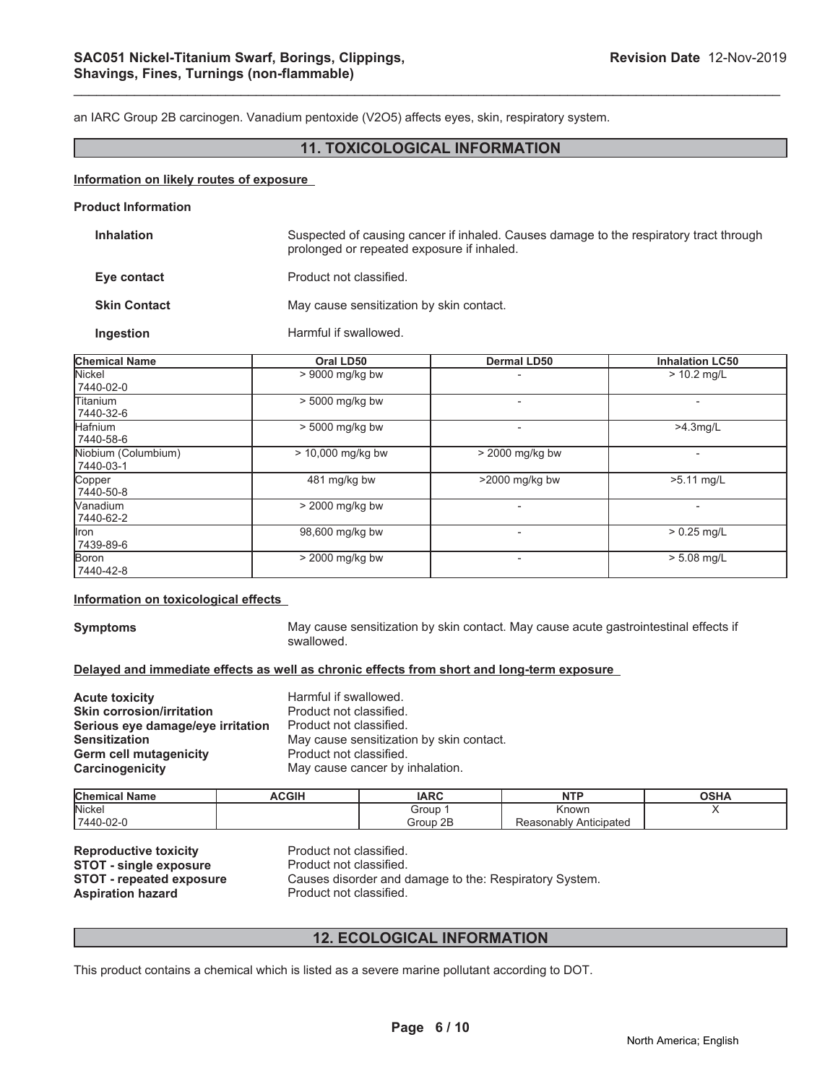an IARC Group 2B carcinogen. Vanadium pentoxide (V2O5) affects eyes, skin, respiratory system.

#### **11. TOXICOLOGICAL INFORMATION**

\_\_\_\_\_\_\_\_\_\_\_\_\_\_\_\_\_\_\_\_\_\_\_\_\_\_\_\_\_\_\_\_\_\_\_\_\_\_\_\_\_\_\_\_\_\_\_\_\_\_\_\_\_\_\_\_\_\_\_\_\_\_\_\_\_\_\_\_\_\_\_\_\_\_\_\_\_\_\_\_\_\_\_\_\_\_\_\_\_\_\_\_\_

#### **Information on likely routes of exposure**

#### **Product Information**

| <b>Inhalation</b>   | Suspected of causing cancer if inhaled. Causes damage to the respiratory tract through<br>prolonged or repeated exposure if inhaled. |
|---------------------|--------------------------------------------------------------------------------------------------------------------------------------|
| Eye contact         | Product not classified.                                                                                                              |
| <b>Skin Contact</b> | May cause sensitization by skin contact.                                                                                             |
| <b>Ingestion</b>    | Harmful if swallowed.                                                                                                                |

| <b>Chemical Name</b>             | Oral LD50         | <b>Dermal LD50</b>       | <b>Inhalation LC50</b>   |
|----------------------------------|-------------------|--------------------------|--------------------------|
| Nickel<br>7440-02-0              | $> 9000$ mg/kg bw |                          | $> 10.2$ mg/L            |
| lTitanium<br>7440-32-6           | > 5000 mg/kg bw   |                          | $\overline{\phantom{0}}$ |
| <b>Hafnium</b><br>7440-58-6      | > 5000 mg/kg bw   | $\overline{\phantom{0}}$ | $>4.3$ mg/L              |
| Niobium (Columbium)<br>7440-03-1 | > 10,000 mg/kg bw | $> 2000$ mg/kg bw        |                          |
| Copper<br>7440-50-8              | 481 mg/kg bw      | >2000 mg/kg bw           | >5.11 mg/L               |
| <b>Nanadium</b><br>7440-62-2     | > 2000 mg/kg bw   |                          |                          |
| llron<br>7439-89-6               | 98,600 mg/kg bw   |                          | $> 0.25$ mg/L            |
| Boron<br>7440-42-8               | $>$ 2000 mg/kg bw |                          | $> 5.08$ mg/L            |

#### **Information on toxicological effects**

**Symptoms** May cause sensitization by skin contact. May cause acute gastrointestinal effects if swallowed.

#### **Delayed and immediate effects as well as chronic effects from short and long-term exposure**

| <b>Acute toxicity</b>             | Harmful if swallowed.                    |
|-----------------------------------|------------------------------------------|
| <b>Skin corrosion/irritation</b>  | Product not classified.                  |
| Serious eye damage/eye irritation | Product not classified.                  |
| <b>Sensitization</b>              | May cause sensitization by skin contact. |
| <b>Germ cell mutagenicity</b>     | Product not classified.                  |
| Carcinogenicity                   | May cause cancer by inhalation.          |

| <b>Chemica</b><br>l Name | <b>ACGIH</b> | <b>IARC</b> | <b>NTP</b>                | OCDA<br>א⊓כּט |
|--------------------------|--------------|-------------|---------------------------|---------------|
| Nicker                   |              | Group       | Known                     |               |
| 7440-02-0                |              | 2E<br>Group | Anticipated<br>keasonably |               |

**Reproductive toxicity example 3 Product not classified.**<br> **STOT - single exposure** Product not classified. **STOT - single exposure<br>STOT - repeated exposure Aspiration hazard** 

Causes disorder and damage to the: Respiratory System.<br>Product not classified.

#### **12. ECOLOGICAL INFORMATION**

This product contains a chemical which is listed as a severe marine pollutant according to DOT.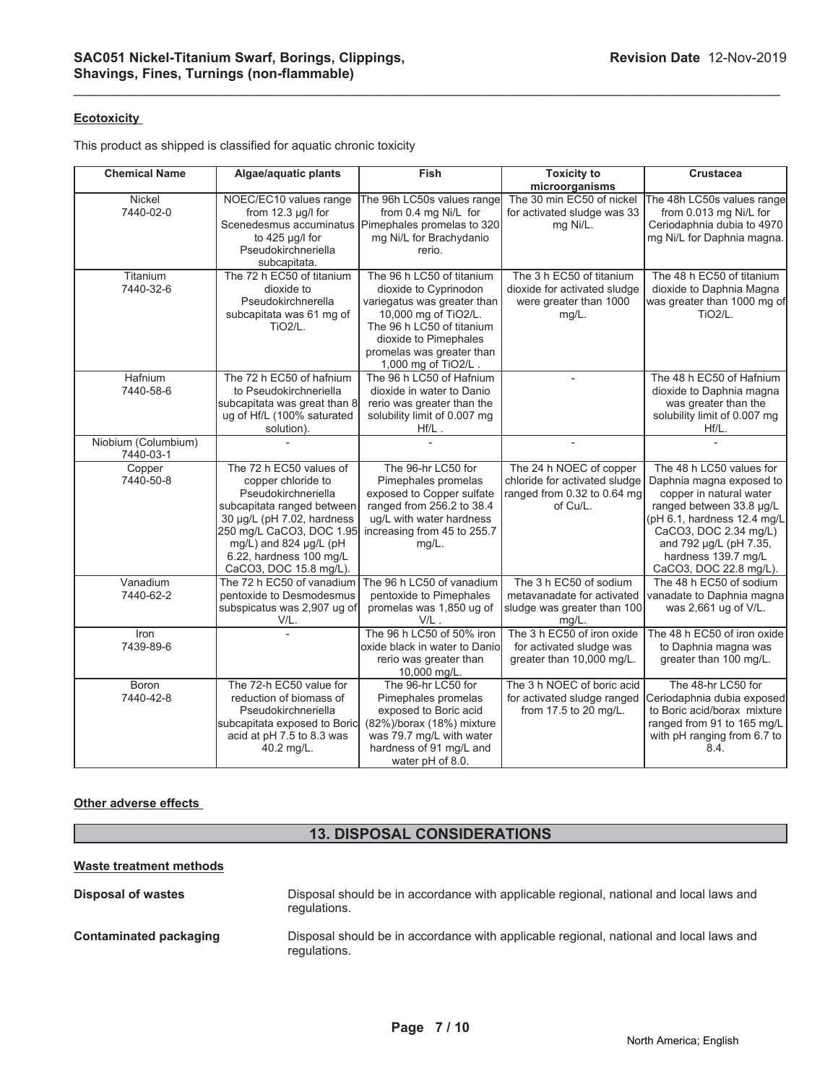#### **Ecotoxicity**

This product as shipped is classified for aquatic chronic toxicity

| <b>Chemical Name</b>             | Algae/aquatic plants                      | Fish                                | <b>Toxicity to</b>                      | <b>Crustacea</b>                                  |
|----------------------------------|-------------------------------------------|-------------------------------------|-----------------------------------------|---------------------------------------------------|
|                                  |                                           |                                     | microorganisms                          |                                                   |
| Nickel                           | NOEC/EC10 values range                    | The 96h LC50s values range          | The 30 min EC50 of nickel               | The 48h LC50s values range                        |
| 7440-02-0                        | from 12.3 µg/l for                        | from 0.4 mg Ni/L for                | for activated sludge was 33             | from 0.013 mg Ni/L for                            |
|                                  | Scenedesmus accuminatus                   | Pimephales promelas to 320          | mg Ni/L.                                | Ceriodaphnia dubia to 4970                        |
|                                  | to $425 \mu g/l$ for                      | mg Ni/L for Brachydanio             |                                         | mg Ni/L for Daphnia magna.                        |
|                                  | Pseudokirchneriella                       | rerio.                              |                                         |                                                   |
| Titanium                         | subcapitata.<br>The 72 h EC50 of titanium | The 96 h LC50 of titanium           | The 3 h EC50 of titanium                | The 48 h EC50 of titanium                         |
| 7440-32-6                        | dioxide to                                | dioxide to Cyprinodon               | dioxide for activated sludge            | dioxide to Daphnia Magna                          |
|                                  | Pseudokirchnerella                        | variegatus was greater than         | were greater than 1000                  | was greater than 1000 mg of                       |
|                                  | subcapitata was 61 mg of                  | 10,000 mg of TiO2/L.                | mg/L.                                   | <b>TiO2/L.</b>                                    |
|                                  | <b>TiO2/L.</b>                            | The 96 h LC50 of titanium           |                                         |                                                   |
|                                  |                                           | dioxide to Pimephales               |                                         |                                                   |
|                                  |                                           | promelas was greater than           |                                         |                                                   |
|                                  |                                           | 1,000 mg of TiO2/L.                 |                                         |                                                   |
| Hafnium                          | The 72 h EC50 of hafnium                  | The 96 h LC50 of Hafnium            | $\overline{\phantom{a}}$                | The 48 h EC50 of Hafnium                          |
| 7440-58-6                        | to Pseudokirchneriella                    | dioxide in water to Danio           |                                         | dioxide to Daphnia magna                          |
|                                  | subcapitata was great than 8              | rerio was greater than the          |                                         | was greater than the                              |
|                                  | ug of Hf/L (100% saturated                | solubility limit of 0.007 mg        |                                         | solubility limit of 0.007 mg                      |
|                                  | solution).                                | $Hf/L$ .                            |                                         | Hf/L.                                             |
| Niobium (Columbium)<br>7440-03-1 |                                           |                                     |                                         |                                                   |
| Copper                           | The 72 h EC50 values of                   | The 96-hr LC50 for                  | The 24 h NOEC of copper                 | The 48 h LC50 values for                          |
| 7440-50-8                        | copper chloride to                        | Pimephales promelas                 | chloride for activated sludge           | Daphnia magna exposed to                          |
|                                  | Pseudokirchneriella                       | exposed to Copper sulfate           | ranged from 0.32 to 0.64 mg             | copper in natural water                           |
|                                  | subcapitata ranged between                | ranged from 256.2 to 38.4           | of Cu/L.                                | ranged between 33.8 µg/L                          |
|                                  | 30 µg/L (pH 7.02, hardness                | ug/L with water hardness            |                                         | (pH 6.1, hardness 12.4 mg/L                       |
|                                  | 250 mg/L CaCO3, DOC 1.95                  | increasing from 45 to 255.7         |                                         | CaCO3, DOC 2.34 mg/L)                             |
|                                  | mg/L) and 824 µg/L (pH                    | $mg/L$ .                            |                                         | and 792 µg/L (pH 7.35,                            |
|                                  | 6.22, hardness 100 mg/L                   |                                     |                                         | hardness 139.7 mg/L                               |
|                                  | CaCO3, DOC 15.8 mg/L).                    |                                     |                                         | CaCO3, DOC 22.8 mg/L).                            |
| Vanadium                         | The 72 h EC50 of vanadium                 | The 96 h LC50 of vanadium           | The 3 h EC50 of sodium                  | The 48 h EC50 of sodium                           |
| 7440-62-2                        | pentoxide to Desmodesmus                  | pentoxide to Pimephales             | metavanadate for activated              | vanadate to Daphnia magna<br>was 2,661 ug of V/L. |
|                                  | subspicatus was 2,907 ug of<br>V/L.       | promelas was 1,850 ug of<br>$V/L$ . | sludge was greater than 100<br>$mq/L$ . |                                                   |
| Iron                             |                                           | The 96 h LC50 of 50% iron           | The 3 h EC50 of iron oxide              | The 48 h EC50 of iron oxide                       |
| 7439-89-6                        |                                           | oxide black in water to Danio       | for activated sludge was                | to Daphnia magna was                              |
|                                  |                                           | rerio was greater than              | greater than 10,000 mg/L.               | greater than 100 mg/L.                            |
|                                  |                                           | 10,000 mg/L.                        |                                         |                                                   |
| <b>Boron</b>                     | The 72-h EC50 value for                   | The 96-hr LC50 for                  | The 3 h NOEC of boric acid              | The 48-hr LC50 for                                |
| 7440-42-8                        | reduction of biomass of                   | Pimephales promelas                 | for activated sludge ranged             | Ceriodaphnia dubia exposed                        |
|                                  | Pseudokirchneriella                       | exposed to Boric acid               | from 17.5 to 20 mg/L.                   | to Boric acid/borax mixture                       |
|                                  | subcapitata exposed to Boric              | (82%)/borax (18%) mixture           |                                         | ranged from 91 to 165 mg/L                        |
|                                  | acid at pH 7.5 to 8.3 was                 | was 79.7 mg/L with water            |                                         | with pH ranging from 6.7 to                       |
|                                  | 40.2 mg/L.                                | hardness of 91 mg/L and             |                                         | 8.4.                                              |
|                                  |                                           | water pH of 8.0.                    |                                         |                                                   |

\_\_\_\_\_\_\_\_\_\_\_\_\_\_\_\_\_\_\_\_\_\_\_\_\_\_\_\_\_\_\_\_\_\_\_\_\_\_\_\_\_\_\_\_\_\_\_\_\_\_\_\_\_\_\_\_\_\_\_\_\_\_\_\_\_\_\_\_\_\_\_\_\_\_\_\_\_\_\_\_\_\_\_\_\_\_\_\_\_\_\_\_\_

#### **Other adverse effects**

# **13. DISPOSAL CONSIDERATIONS**

### **Waste treatment methods**

| Disposal of wastes            | Disposal should be in accordance with applicable regional, national and local laws and<br>regulations. |
|-------------------------------|--------------------------------------------------------------------------------------------------------|
| <b>Contaminated packaging</b> | Disposal should be in accordance with applicable regional, national and local laws and<br>regulations. |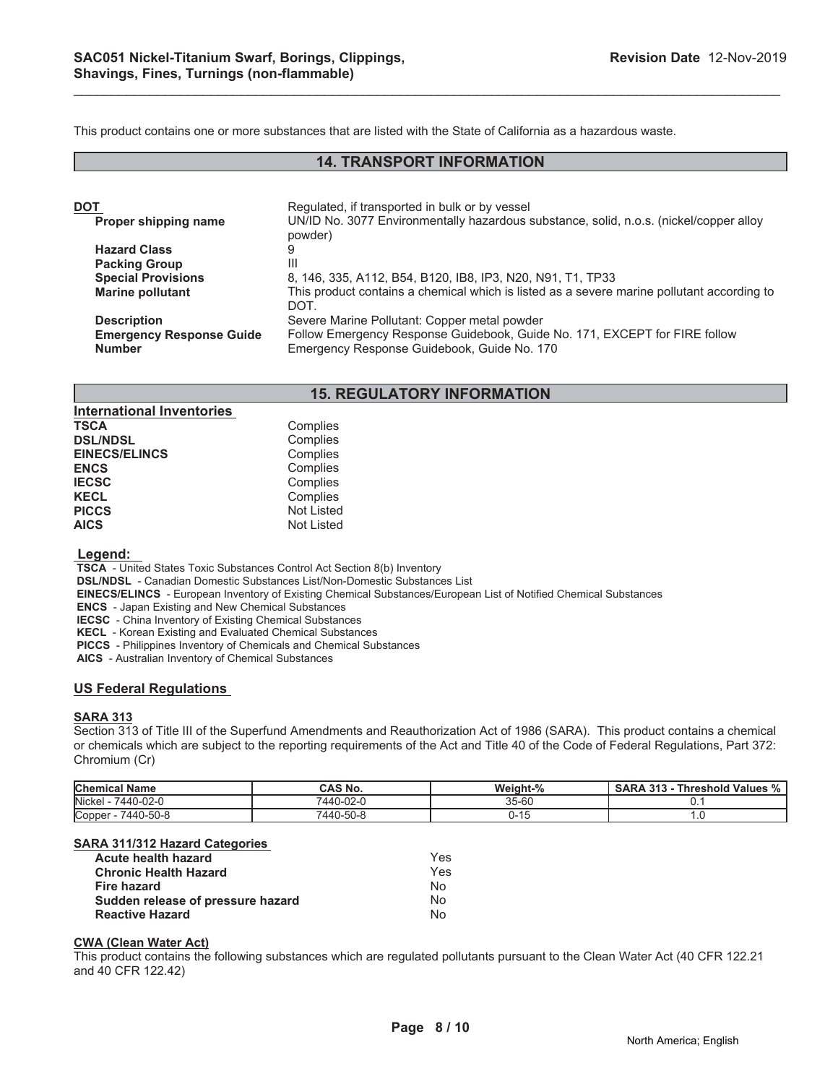This product contains one or more substances that are listed with the State of California as a hazardous waste.

### **14. TRANSPORT INFORMATION**

\_\_\_\_\_\_\_\_\_\_\_\_\_\_\_\_\_\_\_\_\_\_\_\_\_\_\_\_\_\_\_\_\_\_\_\_\_\_\_\_\_\_\_\_\_\_\_\_\_\_\_\_\_\_\_\_\_\_\_\_\_\_\_\_\_\_\_\_\_\_\_\_\_\_\_\_\_\_\_\_\_\_\_\_\_\_\_\_\_\_\_\_\_

| DOT                             | Regulated, if transported in bulk or by vessel                                                     |
|---------------------------------|----------------------------------------------------------------------------------------------------|
| Proper shipping name            | UN/ID No. 3077 Environmentally hazardous substance, solid, n.o.s. (nickel/copper alloy<br>powder)  |
| <b>Hazard Class</b>             |                                                                                                    |
| <b>Packing Group</b>            | Ш                                                                                                  |
| <b>Special Provisions</b>       | 8, 146, 335, A112, B54, B120, IB8, IP3, N20, N91, T1, TP33                                         |
| <b>Marine pollutant</b>         | This product contains a chemical which is listed as a severe marine pollutant according to<br>DOT. |
| <b>Description</b>              | Severe Marine Pollutant: Copper metal powder                                                       |
| <b>Emergency Response Guide</b> | Follow Emergency Response Guidebook, Guide No. 171, EXCEPT for FIRE follow                         |
| <b>Number</b>                   | Emergency Response Guidebook, Guide No. 170                                                        |

#### **15. REGULATORY INFORMATION**

| <b>International Inventories</b> |                   |
|----------------------------------|-------------------|
| <b>TSCA</b>                      | Complies          |
| <b>DSL/NDSL</b>                  | Complies          |
| <b>EINECS/ELINCS</b>             | Complies          |
| <b>ENCS</b>                      | Complies          |
| <b>IECSC</b>                     | Complies          |
| <b>KECL</b>                      | Complies          |
| <b>PICCS</b>                     | <b>Not Listed</b> |
| <b>AICS</b>                      | <b>Not Listed</b> |
|                                  |                   |

#### **Legend:**

 **TSCA** - United States Toxic Substances Control Act Section 8(b) Inventory

 **DSL/NDSL** - Canadian Domestic Substances List/Non-Domestic Substances List

 **EINECS/ELINCS** - European Inventory of Existing Chemical Substances/European List of Notified Chemical Substances

 **ENCS** - Japan Existing and New Chemical Substances

 **IECSC** - China Inventory of Existing Chemical Substances

 **KECL** - Korean Existing and Evaluated Chemical Substances

 **PICCS** - Philippines Inventory of Chemicals and Chemical Substances

 **AICS** - Australian Inventory of Chemical Substances

#### **US Federal Regulations**

#### **SARA 313**

Section 313 of Title III of the Superfund Amendments and Reauthorization Act of 1986 (SARA). This product contains a chemical or chemicals which are subject to the reporting requirements of the Act and Title 40 of the Code of Federal Regulations, Part 372: Chromium (Cr)

| <b>Chemical</b><br><b>Name</b> | <b>CAS No.</b> | Weight-% | $\Omega$<br><b>Threshold Values</b><br><b>SARA</b><br>242<br>$\sqrt{0}$ |
|--------------------------------|----------------|----------|-------------------------------------------------------------------------|
| <b>Nickel</b><br>7440-02-0     | 7440-02-0      | 35-60    | v.                                                                      |
| Copper<br>7440-50-8            | 7440-50-8      | ບ- ເບ    |                                                                         |

#### **SARA 311/312 Hazard Categories**

| <b>Acute health hazard</b>        | Yes |
|-----------------------------------|-----|
| <b>Chronic Health Hazard</b>      | Yes |
| Fire hazard                       | N٥  |
| Sudden release of pressure hazard | Nο  |
| <b>Reactive Hazard</b>            | N٥  |

#### **CWA (Clean Water Act)**

This product contains the following substances which are regulated pollutants pursuant to the Clean Water Act (40 CFR 122.21 and 40 CFR 122.42)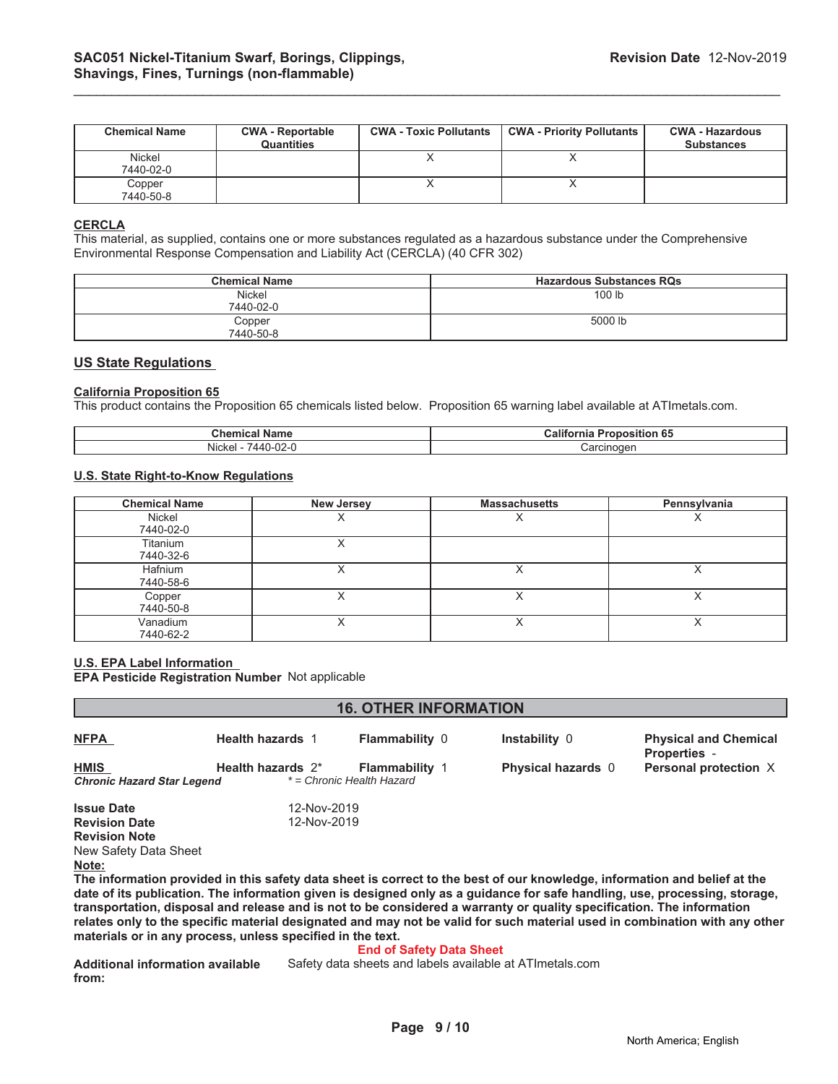| <b>Chemical Name</b> | <b>CWA - Reportable</b><br><b>Quantities</b> | <b>CWA - Toxic Pollutants</b> | <b>CWA - Priority Pollutants</b> | <b>CWA - Hazardous</b><br><b>Substances</b> |
|----------------------|----------------------------------------------|-------------------------------|----------------------------------|---------------------------------------------|
| Nickel<br>7440-02-0  |                                              |                               |                                  |                                             |
| Copper<br>7440-50-8  |                                              |                               |                                  |                                             |

\_\_\_\_\_\_\_\_\_\_\_\_\_\_\_\_\_\_\_\_\_\_\_\_\_\_\_\_\_\_\_\_\_\_\_\_\_\_\_\_\_\_\_\_\_\_\_\_\_\_\_\_\_\_\_\_\_\_\_\_\_\_\_\_\_\_\_\_\_\_\_\_\_\_\_\_\_\_\_\_\_\_\_\_\_\_\_\_\_\_\_\_\_

#### **CERCLA**

This material, as supplied, contains one or more substances regulated as a hazardous substance under the Comprehensive Environmental Response Compensation and Liability Act (CERCLA) (40 CFR 302)

| <b>Chemical Name</b> | <b>Hazardous Substances RQs</b> |
|----------------------|---------------------------------|
| Nickel<br>7440-02-0  | 100 lb                          |
| Copper<br>7440-50-8  | 5000 lb                         |

### **US State Regulations**

#### **California Proposition 65**

This product contains the Proposition 65 chemicals listed below. Proposition 65 warning label available at ATImetals.com.

| ີh∩n<br>анк                                    | -e r<br>$\cdots$<br>.<br>sitior<br>юa<br>н |
|------------------------------------------------|--------------------------------------------|
| <b>Nicke</b><br>$\sim$<br>44<br>UZ-1<br><br>л. | noaer<br>.2r<br>-------                    |

#### **U.S. State Right-to-Know Regulations**

| <b>Chemical Name</b>  | <b>New Jersey</b> | <b>Massachusetts</b> | Pennsylvania |
|-----------------------|-------------------|----------------------|--------------|
| Nickel<br>7440-02-0   | ∧                 |                      |              |
| Titanium<br>7440-32-6 | ∧                 |                      |              |
| Hafnium<br>7440-58-6  | $\cdot$           | ↗                    |              |
| Copper<br>7440-50-8   | ⌒                 |                      |              |
| Vanadium<br>7440-62-2 | ∧                 | ∧                    |              |

#### **U.S. EPA Label Information**

**EPA Pesticide Registration Number** Not applicable

| <b>16. OTHER INFORMATION</b>                                                                                              |                         |                           |                           |                                                     |
|---------------------------------------------------------------------------------------------------------------------------|-------------------------|---------------------------|---------------------------|-----------------------------------------------------|
| <b>NFPA</b>                                                                                                               | <b>Health hazards 1</b> | <b>Flammability 0</b>     | Instability 0             | <b>Physical and Chemical</b><br><b>Properties -</b> |
| <b>HMIS</b>                                                                                                               | Health hazards $2^*$    | <b>Flammability 1</b>     | <b>Physical hazards</b> 0 | Personal protection X                               |
| <b>Chronic Hazard Star Legend</b>                                                                                         |                         | * = Chronic Health Hazard |                           |                                                     |
| <b>Issue Date</b>                                                                                                         | 12-Nov-2019             |                           |                           |                                                     |
| <b>Revision Date</b>                                                                                                      | 12-Nov-2019             |                           |                           |                                                     |
| <b>Revision Note</b>                                                                                                      |                         |                           |                           |                                                     |
| New Safety Data Sheet                                                                                                     |                         |                           |                           |                                                     |
| Note:                                                                                                                     |                         |                           |                           |                                                     |
| The information provided in this safety data sheet is correct to the best of our knowledge, information and belief at the |                         |                           |                           |                                                     |

**date of its publication. The information given is designed only as a guidance for safe handling, use, processing, storage, transportation, disposal and release and is not to be considered a warranty or quality specification. The information relates only to the specific material designated and may not be valid for such material used in combination with any other materials or in any process, unless specified in the text.**

#### **End of Safety Data Sheet**

**Additional information available from:** Safety data sheets and labels available at ATImetals.com